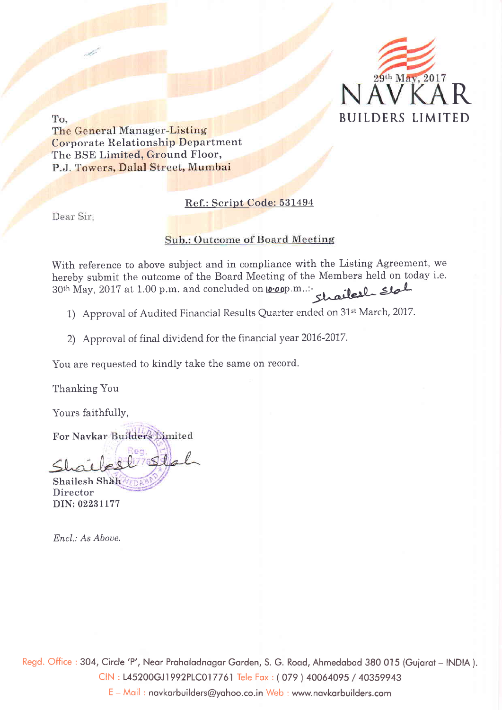

To,

The General Manager-Listing Corporate Relationship Department The BSE Limited, Ground Floor, P.J. Towers, Dalal Street, Mumbai

### Ref.: Scrint Code: 531494

Dear Sir,

### **Sub.: Outcome of Board Meeting**

With reference to above subject and in compliance with the Listing Agreement, we hereby submit the outcome of the Board Meeting of the Members held on today i.e.  $30^{\text{th}}$  May, 2017 at 1.00 p.m. and concluded on <u>**0.00**p</u>.m..: chailed  $\blacktriangle$  slal

- 1) Approval of Audited Financial Results Quarter ended on 31<sup>st</sup> March, 2017.
- 2) Approval of final dividend for the financial year 2016-2017.

You are requested to kindly take the same on record.

Thanking You

Yours faithfully,

For Navkar

 $8217552$ 

DIN: 02231177 Shailesh Shah Director

Encl.: As Aboue.

Regd. Office : 304, Circle 'P', Neor Proholodnogor Gorden, S. G. Rood, Ahmedobod 380 015 (Guioroi - INDIA ). CIN : 145200GJ1992PLC017761 Iele Fox : ( 079 ) <sup>40064095</sup>/ <sup>40359943</sup> <sup>E</sup>- Moil : novkorbuilders@yohoo.co.in Web : www.novkorbuilders.com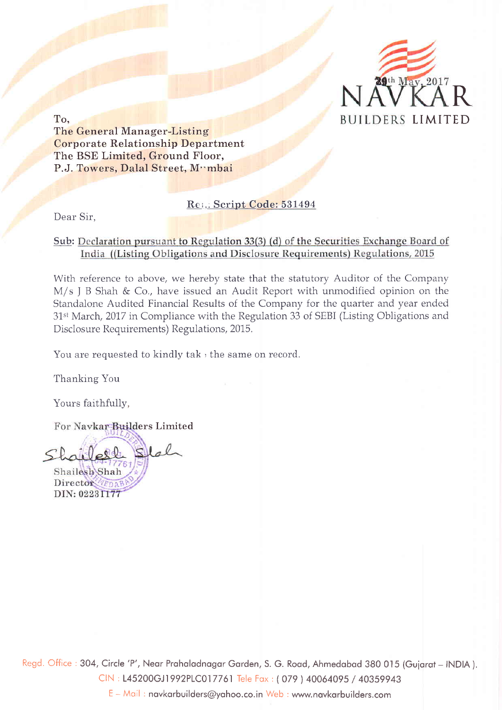

The General Manager-Listing Corporate Relationship Department The BSE Limited, Ground Floor, P.J. Towers, Dalal Street, Mymbai

### Rei.: Script Code: 531494

Dear Sir,

### Sub: Declaration pursuant to Regulation 33(3) (d) of the Securities Exchange Board of India ((Listing Obligations and Disclosure Requirements) Regulations, 2015

With reference to above, we hereby state that the statutory Auditor of the Company  $M/s$  J B Shah & Co., have issued an Audit Report with unmodified opinion on the Standalone Audited Financial Results of the Company for the quarter and year ended 31<sup>st</sup> March, 2017 in Compliance with the Regulation 33 of SEBI (Listing Obligations and Disclosure Requirements) Regulations, 2075.

You are requested to kindly tak , the same on record.

Thanking You

Yours faithfully,

For Navkar Builders Limited



Regd. Office : 304, Circle 'P', Near Prahaladnagar Garden, S. G. Road, Ahmedabad 380 015 (Gujarat - INDIA). CIN ; L45200GJl 992PLC017761 Tele Fox : ( O79 \ 40064095 / <sup>40359943</sup>

<sup>E</sup>- Moil : novkorbuilders@yohoo.co.in Web : www.novkorbuilders.com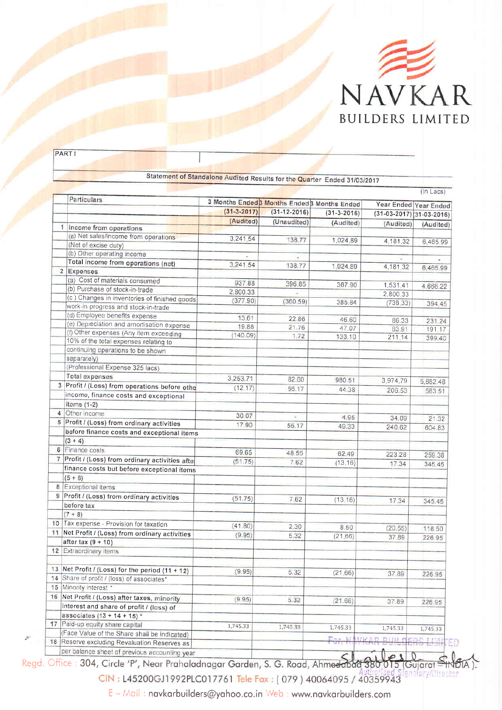

|                |                                                         |                                              |                    |               |                            | $(ln$ Lacs $)$ |
|----------------|---------------------------------------------------------|----------------------------------------------|--------------------|---------------|----------------------------|----------------|
|                | Particulars                                             | 3 Months Ended 3 Months Ended 3 Months Ended |                    |               |                            |                |
|                |                                                         | $(31 - 3 - 2017)$                            | $(31 - 12 - 2016)$ |               | Year Ended Year Ended      |                |
|                |                                                         | (Audited)                                    | (Unaudited)        | $(31-3-2016)$ | $(31-03-2017)$ 31-03-2016) |                |
|                | 1 Income from operations                                |                                              |                    | (Audited)     | (Audited)                  | (Audited)      |
|                | (a) Net sales/income from operations                    | 3,241.54                                     | 138.77             |               |                            |                |
|                | (Net of excise duty)                                    |                                              |                    | 1,024.89      | 4,181.32                   | 6,465.99       |
|                | (b) Other operating income                              |                                              |                    |               |                            |                |
|                | Total income from operations (net)                      | 3,241.54                                     | 138.77             | 1,024.89      |                            |                |
|                | 2 Expenses                                              |                                              |                    |               | 4,181.32                   | 6,465.99       |
|                | (a) Cost of materials consumed                          | 937.88                                       | 396.85             |               |                            |                |
|                | (b) Purchase of stock-in-trade                          | 2,800.33                                     |                    | 367.90        | 1,531,41                   | 4,666.22       |
|                | (c) Changes in inventories of finished goods            | (377.90)                                     | (360.59)           | 385.84        | 2,800,33                   |                |
|                | work-in-progress and stock-in-trade                     |                                              |                    |               | (738.33)                   | 394.45         |
|                | (d) Employee benefits expense                           | 13.61                                        | 22.86              | 46.60         |                            |                |
|                | (e) Depreciation and amortisation expense               | 19.88                                        | 21.76              | 47.07         | 86.33                      | 231.24         |
|                | (f) Other expenses (Any item exceeding                  | (140.09)                                     | 1.72               | 133.10        | 83.91                      | 191.17         |
|                | 10% of the total expenses relating to                   |                                              |                    |               | 211.14                     | 399.40         |
|                | continuing operations to be shown                       |                                              |                    |               |                            |                |
|                | separately)                                             |                                              |                    |               |                            |                |
|                | (Professional Expense 325 lacs)                         |                                              |                    |               |                            |                |
|                | <b>Total expenses</b>                                   | 3,253.71                                     | 82.60              | 980.51        | 3,974.79                   | 5,882.48       |
| 3 <sup>1</sup> | Profit / (Loss) from operations before othe             | (12.17)                                      | 56.17              | 44.38         | 206.53                     |                |
|                | income, finance costs and exceptional                   |                                              |                    |               |                            | 583.51         |
|                | items (1-2)                                             |                                              |                    |               |                            |                |
|                | 4 Other income                                          | 30.07                                        |                    |               |                            |                |
| 5              | Profit / (Loss) from ordinary activities                | 17.90                                        |                    | 4.95          | 34.09                      | 21.32          |
|                | before finance costs and exceptional items              |                                              | 56.17              | 49.33         | 240.62                     | 604.83         |
|                | $(3 + 4)$                                               |                                              |                    |               |                            |                |
|                | 6 Finance costs                                         |                                              |                    |               |                            |                |
| 7 <sup>1</sup> | Profit / (Loss) from ordinary activities afte           | 69.65                                        | 48.55              | 62.49         | 223.28                     | 259.38         |
|                |                                                         | (51.75)                                      | 7.62               | (13.16)       | 17.34                      | 345.45         |
|                | finance costs but before exceptional items<br>$(5 + 6)$ |                                              |                    |               |                            |                |
|                |                                                         |                                              |                    |               |                            |                |
|                | 8 Exceptional items                                     |                                              |                    |               |                            |                |
|                | 9 Profit / (Loss) from ordinary activities              | (51.75)                                      | 7.62               | (13.16)       | 17.34                      | 345.45         |
|                | before tax                                              |                                              |                    |               |                            |                |
|                | $(7 + 8)$                                               |                                              |                    |               |                            |                |
|                | 10 Tax expense - Provision for taxation                 | (41.80)                                      | 2.30               | 8.50          | (20.55)                    | 118.50         |
|                | 11 Net Profit / (Loss) from ordinary activities         | (9.95)                                       | 5.32               | (21.66)       | 37.89                      | 226.95         |
|                | after tax $(9 + 10)$                                    |                                              |                    |               |                            |                |
|                | 12 Extraordinary items                                  |                                              |                    |               |                            |                |
|                | 13 Net Profit / (Loss) for the period (11 + 12)         | (9.95)                                       | 5.32               | (21.66)       | 37.89                      | 226.95         |
|                | 14 Share of profit / (loss) of associates*              |                                              |                    |               |                            |                |
|                | 15 Minority interest *                                  |                                              |                    |               |                            |                |
|                | 16 Net Profit / (Loss) after taxes, minority            | (9.95)                                       | 5.32               |               |                            |                |
|                | interest and share of profit / (loss) of                |                                              |                    | (21.66)       | 37.89                      | 226.95         |
|                | associates $(13 + 14 + 15)^*$                           |                                              |                    |               |                            |                |
|                | 17 Paid-up equity share capital                         | 1,745.33                                     | 1,745.33           |               |                            |                |
|                | (Face Value of the Share shall be indicated)            |                                              |                    | 1,745.33      | 1,745.33                   | 1,745,33       |

**PART I** 

TRESERVE EXCLUDING THE STATE STATE OF THE CHARGE OF THE RESERVE ASSESSED PER DATA PROPERTY. Regd. Office : <mark>304,</mark> 15 (Gujarat =

gnatory/Ohector CIN: L45200GJ1992PLC017761 Tele Fax: (079) 40064095 / 40359943

E - Mail: navkarbuilders@yahoo.co.in Web : www.navkarbuilders.com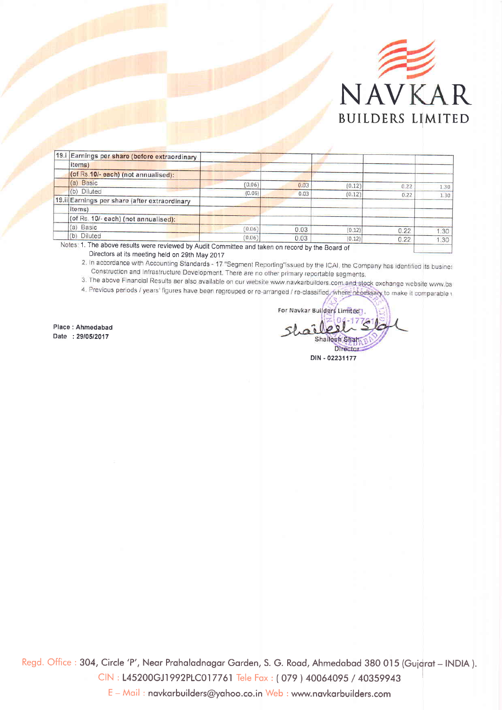

| 19.i Earnings per share (before extraordinary |        |      |        |      |      |
|-----------------------------------------------|--------|------|--------|------|------|
| items)                                        |        |      |        |      |      |
| (of Rs 10/- each) (not annualised):           |        |      |        |      |      |
| (a) Basic                                     | (0.06) | 0.03 | [0.12] | 0.22 | 1.30 |
| (b) Diluted                                   | (0.06) | 0.03 | (0.12) | 0.22 | 1.30 |
| 19.ii Earnings per share (after extraordinary |        |      |        |      |      |
| items)                                        |        |      |        |      |      |
| (of Rs. 10/- each) (not annualised):          |        |      |        |      |      |
| (a) Basic                                     | (0.06) | 0.03 | (0.12) | 0.22 | 30   |
| (b) Diluted                                   | (0.06) | 0.03 | (0.12) | 0.22 | 1.30 |

Notes: 1. The above results were reviewed by Audit Committee and taken on record by the Board of

Directors at its meeting held on 29th May 2017<br>2. In accordance with Accounting Standards - 17 "Segment Reporting"issued by the ICAI, the Company has identified its busines Construction and Infrastructure Development. There are no other primary reportable segments.

3. The above Financial Results aer also available on our website www.navkarbuilders.com and stock exchange website www.bs

4. Previous periods / years' figures have been regrouped or re-arranged / re-classified, where neoessary to make it comparable \

Place : Ahmedabad Date :2910512017

For Navkar Builders Limited  $\hat{a}$ Shailesh Shar Director DIN - 02231177

Regd. Office : 304, Circle 'P', Near Prahaladnagar Garden, S. G. Road, Ahmedabad 380 015 (Gujarat – INDIA ). CIN : 145200GJ1992P1C017761 Tele Fox : ( 079 ) <sup>40064095</sup>/ <sup>40359943</sup>

<sup>E</sup>- Moil : novkorbuilders@yohoo.co.in Web : www.novkorbuilders.com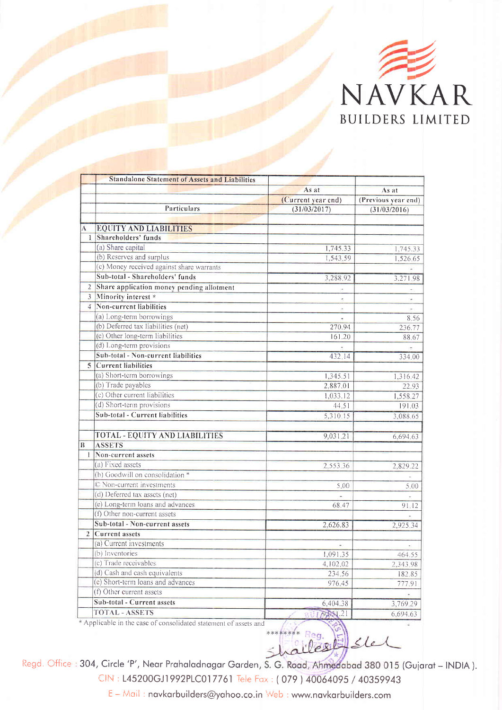

|                | <b>Standalone Statement of Assets and Liabilities</b> |                    |                     |
|----------------|-------------------------------------------------------|--------------------|---------------------|
|                |                                                       | As at              | As at               |
|                |                                                       | (Current year end) | (Previous year end) |
|                | Particulars                                           | (31/03/2017)       | (31/03/2016)        |
|                |                                                       |                    |                     |
| Ā.             | <b>EQUITY AND LIABILITIES</b>                         |                    |                     |
| $\mathbf{1}$   | Shareholders' funds                                   |                    |                     |
|                | (a) Share capital                                     | 1,745.33           | 1,745.33            |
|                | (b) Reserves and surplus                              | 1,543.59           | 1.526,65            |
|                | (c) Money received against share warrants             |                    |                     |
|                | Sub-total - Shareholders' funds                       | 3,288,92           | 3,271.98            |
| $\overline{2}$ | Share application money pending allotment             |                    |                     |
| $\overline{3}$ | Minority interest *                                   |                    |                     |
| $\overline{4}$ | Non-current liabilities                               |                    |                     |
|                | (a) Long-term borrowings                              |                    | 8.56                |
|                | (b) Deferred tax liabilities (net)                    | 270.94             | 236.77              |
|                | (c) Other long-term liabilities                       | 161.20             | 88.67               |
|                | (d) Long-term provisions                              |                    |                     |
|                | Sub-total - Non-current liabilities                   | 432.14             | 334.00              |
|                | 5 Current liabilities                                 |                    |                     |
|                | (a) Short-term borrowings                             | 1,345.51           | 1,316.42            |
|                | (b) Trade payables                                    | 2,887.01           | 22.93               |
|                | (c) Other current liabilities                         | 1,033.12           | 1,558.27            |
|                | (d) Short-term provisions                             | 44.51              | 191.03              |
|                | Sub-total - Current liabilities                       | 5,310.15           | 3,088.65            |
|                |                                                       |                    |                     |
|                | TOTAL - EQUITY AND LIABILITIES                        | 9,031.21           | 6,694.63            |
| B              | <b>ASSETS</b>                                         |                    |                     |
| $\mathbf{L}$   | Non-current assets                                    |                    |                     |
|                | (a) Fixed assets                                      | 2,553.36           | 2,829.22            |
|                | (b) Goodwill on consolidation *                       |                    |                     |
|                | © Non-current investments                             | 5.00               | 5.00                |
|                | (d) Deferred tax assets (net)                         |                    |                     |
|                | (e) Long-term loans and advances                      | 68.47              | 91.12               |
|                | (f) Other non-current assets                          |                    |                     |
|                | Sub-total - Non-current assets                        | 2,626.83           | 2,925.34            |
|                | 2 Current assets                                      |                    |                     |
|                | (a) Current investments                               | ×.                 |                     |
|                | (b) Inventories                                       | 1,091.35           | 464.55              |
|                | (c) Trade receivables                                 | 4,102.02           | 2,343.98            |
|                | (d) Cash and cash equivalents                         | 234.56             | 182.85              |
|                | (e) Short-term loans and advances                     | 976.45             | 777.91              |
|                | (f) Other current assets                              |                    |                     |
|                | Sub-total - Current assets                            | 6,404.38           | 3,769.29            |
|                | <b>TOTAL - ASSETS</b><br><b>CONTRACTOR</b>            | BUI PASL21         | 6,694.63            |

<sup>\*</sup> Applicable in the case of consolidated statement of assets and

Shailes As Stel

Regd. Office : 304, Circle 'P', Near Prahaladnagar Garden, S. G. Road, Ahmedabad 380 015 (Gujarat – INDIA ).

CIN: L45200GJ1992PLC017761 Tele Fax: (079) 40064095 / 40359943

E – Maii : navkarbuilders@yahoo.co.in : wwwnovkorbuilders.com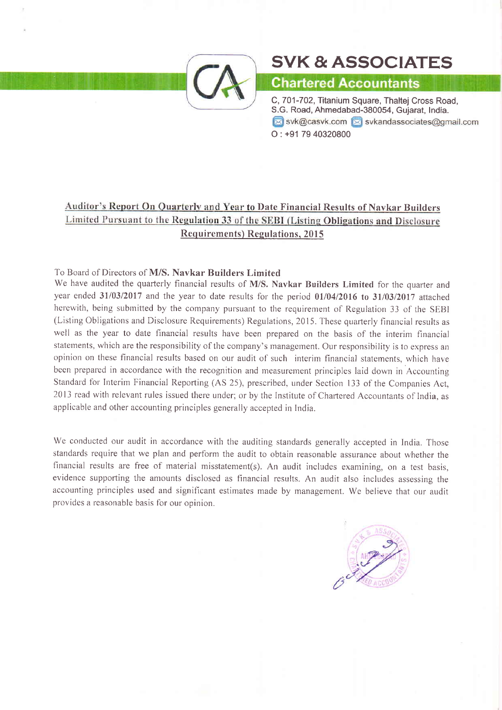

# SVK&ASSOCIATES

## **Chartered Accountants**

C,701-702, Titanium Square, Thaltej Cross Road, S.G. Road, Ahmedabad-380054, Gujarat, India.  $\boxtimes$  svk@casvk.com  $\boxtimes$  svkandassociates@gmail.com O: +91 79 40320800

### Auditor's Report On Quarterly and Year to Date Financial Results of Navkar Builders Limited Pursuant to the Regulation 33 of the SEBI (Listing Obligations and Disclosure Requirements) Regulations, 2015

#### To Board of Directors of M/S. Navkar Builders Limited

We have audited the quarterly financial results of M/S. Navkar Builders Limited for the quarter and year ended  $31/03/2017$  and the year to date results for the period  $01/04/2016$  to  $31/03/2017$  attached herewith, being submitted by the company pursuant to the requirement of Regulation 33 of the SEBI (Listing Obligations and Disclosure Requirements) Regulations, 2015. These quarterly financial results as well as the year to date financial results have been prepared on the basis of the interim financial statements, which are the responsibility of the company's management. Our responsibility is to express an opinion on these financial results based on our audit of such interim financial statements, which have been prepared in accordance with the recognition and measurement principles laid down in Accounting Standard for Interim Financial Reporting (AS 25), prescribed, under Section 133 of the Companies Act, 2013 read with relevant rules issued there under; or by the Institute of Chartered Accountants of India, as applicable and other accounting principles generally accepted in India.

We conducted our audit in accordance with the auditing standards generally accepted in India, Those standards require that we plan and perform the audit to obtain reasonable assurance about whether the financial results are free of material misstatement(s). An audit includes examining, on a test basis, evidence supporting the amounts disclosed as financial results. An audit also includes assessing the accounting principles used and significant estimates made by management. We believe that our audit provides a reasonable basis for our opinion.